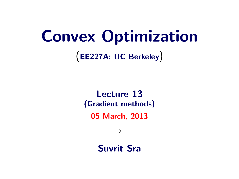# Convex Optimization

(EE227A: UC Berkeley)

# Lecture 13 (Gradient methods)

05 March, 2013

◦

Suvrit Sra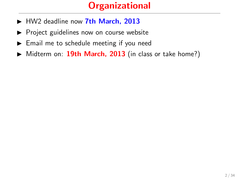# **Organizational**

- HW2 deadline now 7th March, 2013
- $\triangleright$  Project guidelines now on course website
- $\blacktriangleright$  Email me to schedule meeting if you need
- $\triangleright$  Midterm on: 19th March, 2013 (in class or take home?)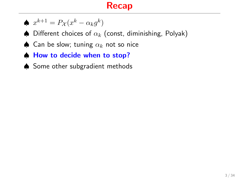# Recap

$$
\spadesuit \; x^{k+1} = P_{\mathcal{X}}(x^k - \alpha_k g^k)
$$

- $\spadesuit$  Different choices of  $\alpha_k$  (const, diminishing, Polyak)
- ♦ Can be slow; tuning  $\alpha_k$  not so nice
- ♠ How to decide when to stop?
- ♦ Some other subgradient methods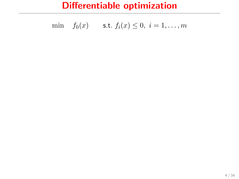min 
$$
f_0(x)
$$
 s.t.  $f_i(x) \le 0, i = 1,...,m$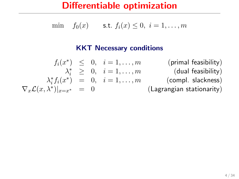min  $f_0(x)$  s.t.  $f_i(x) \leq 0, i = 1, ..., m$ 

#### KKT Necessary conditions

 $f_i(x^*) \leq 0, \quad i = 1, \ldots, m$  (primal feasibility)  $\lambda_i^* \geq 0, \quad i = 1, \ldots, m$  (dual feasibility)  $\lambda_i^* f_i(x^*) = 0, \quad i = 1, \ldots, m$  (compl. slackness)  $\nabla_x \mathcal{L}(x, \lambda^*)|_{x=x^*} = 0$ )|x=x<sup>∗</sup> = 0 (Lagrangian stationarity)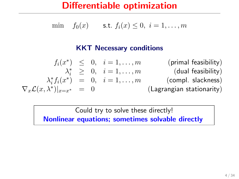min  $f_0(x)$  s.t.  $f_i(x) \leq 0, i = 1, ..., m$ 

#### KKT Necessary conditions

 $f_i(x^*) \leq 0, \quad i = 1, \ldots, m$  (primal feasibility)  $\lambda_i^* \geq 0, \quad i = 1, \ldots, m$  (dual feasibility)  $\lambda_i^* f_i(x^*) = 0, \quad i = 1, \ldots, m$  (compl. slackness)  $\nabla_x \mathcal{L}(x, \lambda^*)|_{x=x^*} = 0$ (Lagrangian stationarity)

> Could try to solve these directly! Nonlinear equations; sometimes solvable directly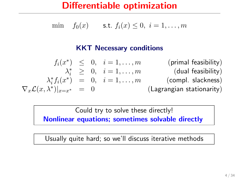min  $f_0(x)$  s.t.  $f_i(x) \leq 0, i = 1, ..., m$ 

#### KKT Necessary conditions

 $f_i(x^*) \leq 0, \quad i = 1, \ldots, m$  (primal feasibility)  $\lambda_i^* \geq 0, \quad i = 1, \ldots, m$  (dual feasibility)  $\lambda_i^* f_i(x^*) = 0, \quad i = 1, \ldots, m$  (compl. slackness)  $\nabla_x \mathcal{L}(x, \lambda^*)|_{x=x^*} = 0$ (Lagrangian stationarity)

Could try to solve these directly!

Nonlinear equations; sometimes solvable directly

Usually quite hard; so we'll discuss iterative methods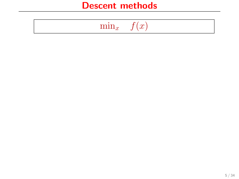$$
\min_{x} \quad f(x)
$$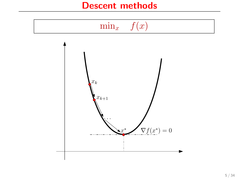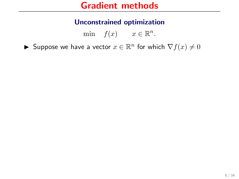min  $f(x)$   $x \in \mathbb{R}^n$ .

► Suppose we have a vector  $x \in \mathbb{R}^n$  for which  $\nabla f(x) \neq 0$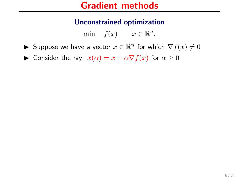- ► Suppose we have a vector  $x \in \mathbb{R}^n$  for which  $\nabla f(x) \neq 0$
- $\triangleright$  Consider the ray:  $x(\alpha) = x \alpha \nabla f(x)$  for  $\alpha \ge 0$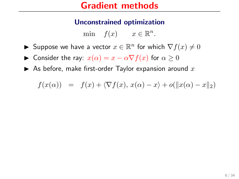- ► Suppose we have a vector  $x \in \mathbb{R}^n$  for which  $\nabla f(x) \neq 0$
- $\triangleright$  Consider the ray:  $x(\alpha) = x \alpha \nabla f(x)$  for  $\alpha \ge 0$
- $\blacktriangleright$  As before, make first-order Taylor expansion around  $x$

$$
f(x(\alpha)) = f(x) + \langle \nabla f(x), x(\alpha) - x \rangle + o(||x(\alpha) - x||_2)
$$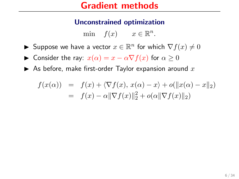- ► Suppose we have a vector  $x \in \mathbb{R}^n$  for which  $\nabla f(x) \neq 0$
- $\triangleright$  Consider the ray:  $x(\alpha) = x \alpha \nabla f(x)$  for  $\alpha \ge 0$
- $\blacktriangleright$  As before, make first-order Taylor expansion around  $x$

$$
f(x(\alpha)) = f(x) + \langle \nabla f(x), x(\alpha) - x \rangle + o(||x(\alpha) - x||_2)
$$
  
=  $f(x) - \alpha ||\nabla f(x)||_2^2 + o(\alpha ||\nabla f(x)||_2)$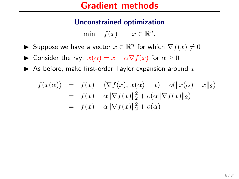- ► Suppose we have a vector  $x \in \mathbb{R}^n$  for which  $\nabla f(x) \neq 0$
- $\triangleright$  Consider the ray:  $x(\alpha) = x \alpha \nabla f(x)$  for  $\alpha \ge 0$
- $\blacktriangleright$  As before, make first-order Taylor expansion around  $x$

$$
f(x(\alpha)) = f(x) + \langle \nabla f(x), x(\alpha) - x \rangle + o(||x(\alpha) - x||_2)
$$
  
=  $f(x) - \alpha ||\nabla f(x)||_2^2 + o(\alpha ||\nabla f(x)||_2)$   
=  $f(x) - \alpha ||\nabla f(x)||_2^2 + o(\alpha)$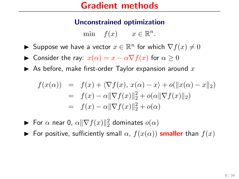- ► Suppose we have a vector  $x \in \mathbb{R}^n$  for which  $\nabla f(x) \neq 0$
- $\triangleright$  Consider the ray:  $x(\alpha) = x \alpha \nabla f(x)$  for  $\alpha \ge 0$
- $\blacktriangleright$  As before, make first-order Taylor expansion around  $x$

$$
f(x(\alpha)) = f(x) + \langle \nabla f(x), x(\alpha) - x \rangle + o(||x(\alpha) - x||_2)
$$
  
=  $f(x) - \alpha ||\nabla f(x)||_2^2 + o(\alpha ||\nabla f(x)||_2)$   
=  $f(x) - \alpha ||\nabla f(x)||_2^2 + o(\alpha)$ 

- ► For  $\alpha$  near 0,  $\alpha \|\nabla f(x)\|_2^2$  dominates  $o(\alpha)$
- For positive, sufficiently small  $\alpha$ ,  $f(x(\alpha))$  smaller than  $f(x)$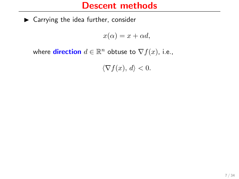$\blacktriangleright$  Carrying the idea further, consider

 $x(\alpha) = x + \alpha d$ ,

where **direction**  $d \in \mathbb{R}^n$  obtuse to  $\nabla f(x)$ , i.e.,

 $\langle \nabla f(x), d \rangle < 0.$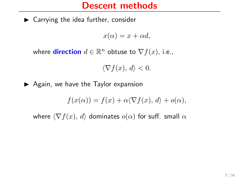$\blacktriangleright$  Carrying the idea further, consider

 $x(\alpha) = x + \alpha d$ ,

where **direction**  $d \in \mathbb{R}^n$  obtuse to  $\nabla f(x)$ , i.e.,

 $\langle \nabla f(x), d \rangle < 0.$ 

 $\blacktriangleright$  Again, we have the Taylor expansion

$$
f(x(\alpha)) = f(x) + \alpha \langle \nabla f(x), d \rangle + o(\alpha),
$$

where  $\langle \nabla f(x), d \rangle$  dominates  $o(\alpha)$  for suff. small  $\alpha$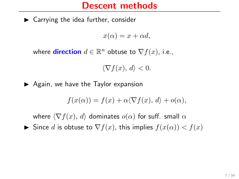$\blacktriangleright$  Carrying the idea further, consider

 $x(\alpha) = x + \alpha d$ ,

where **direction**  $d \in \mathbb{R}^n$  obtuse to  $\nabla f(x)$ , i.e.,

 $\langle \nabla f(x), d \rangle < 0.$ 

 $\blacktriangleright$  Again, we have the Taylor expansion

$$
f(x(\alpha)) = f(x) + \alpha \langle \nabla f(x), d \rangle + o(\alpha),
$$

where  $\langle \nabla f(x), d \rangle$  dominates  $o(\alpha)$  for suff. small  $\alpha$ Since d is obtuse to  $\nabla f(x)$ , this implies  $f(x(\alpha)) < f(x)$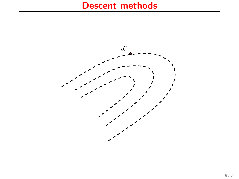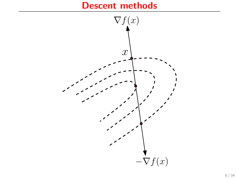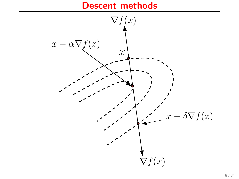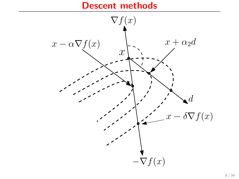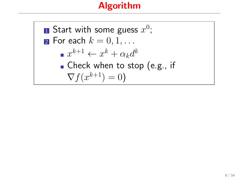# Algorithm

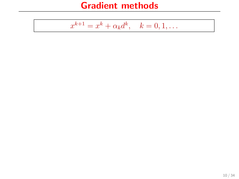$$
x^{k+1} = x^k + \alpha_k d^k, \quad k = 0, 1, \dots
$$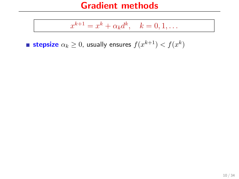$$
x^{k+1} = x^k + \alpha_k d^k, \quad k = 0, 1, \dots
$$

**stepsize**  $\alpha_k \geq 0$ , usually ensures  $f(x^{k+1}) < f(x^k)$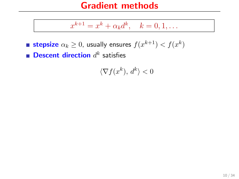$$
x^{k+1} = x^k + \alpha_k d^k, \quad k = 0, 1, \dots
$$

**stepsize**  $\alpha_k \geq 0$ , usually ensures  $f(x^{k+1}) < f(x^k)$ **Descent direction**  $d^k$  satisfies

 $\langle \nabla f(x^k), d^k \rangle < 0$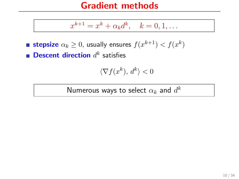$$
x^{k+1} = x^k + \alpha_k d^k, \quad k = 0, 1, \dots
$$

**stepsize**  $\alpha_k \geq 0$ , usually ensures  $f(x^{k+1}) < f(x^k)$ **Descent direction**  $d^k$  satisfies

$$
\langle \nabla f(x^k), \, d^k \rangle < 0
$$

Numerous ways to select  $\alpha_k$  and  $d^k$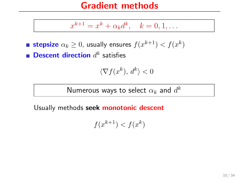$$
x^{k+1} = x^k + \alpha_k d^k, \quad k = 0, 1, \dots
$$

**stepsize**  $\alpha_k \geq 0$ , usually ensures  $f(x^{k+1}) < f(x^k)$ **Descent direction**  $d^k$  satisfies

$$
\langle \nabla f(x^k), \, d^k \rangle < 0
$$

Numerous ways to select  $\alpha_k$  and  $d^k$ 

Usually methods seek monotonic descent

$$
f(x^{k+1}) < f(x^k)
$$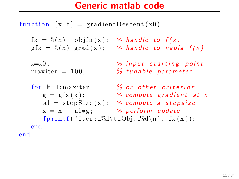## Generic matlab code

function  $[x, f] = gradientDescent(x0)$  $fx = \mathbb{Q}(x)$  obj $fn(x);$  % handle to  $f(x)$  $gfx = \mathbb{Q}(x)$  grad $(x)$ ; % handle to nabla  $f(x)$  $x=x0$ ;  $\%$  in put starting point  $maxiter = 100;$  % tunable parameter for  $k=1$ : maxiter  $\%$  or other criterion  $g = gfx(x);$  % compute gradient at x al = step $Size(x)$ ; % compute a stepsize  $x = x - a1 * g;$  % perform update fprintf ('Iter:  $\mathcal{A}\setminus t$  Obj:  $\mathcal{A}\setminus n'$ , fx(x)); end

end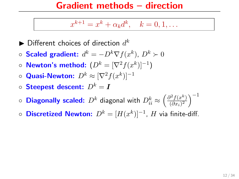#### Gradient methods – direction

$$
x^{k+1} = x^k + \alpha_k d^k, \quad k = 0, 1, \dots
$$

- $\blacktriangleright$  Different choices of direction  $d^k$
- $\circ$  Scaled gradient:  $d^k = -D^k \nabla f(x^k)$ ,  $D^k \succ 0$
- $\circ$  Newton's method:  $(D^k = [\nabla^2 f(x^k)]^{-1})$
- $\circ$  Quasi-Newton:  $D^k \approx [\nabla^2 f(x^k)]^{-1}$
- $\circ$  Steepest descent:  $D^k = I$
- $\circ$  Diagonally scaled:  $D^k$  diagonal with  $D_{ii}^k \approx \left(\frac{\partial^2 f(x^k)}{(\partial x_i)^2}\right)$  $\frac{\partial^2 f(x^k)}{(\partial x_i)^2}$  $\Big)^{-1}$
- Discretized Newton:  $D^k = [H(x^k)]^{-1}$ ,  $H$  via finite-diff.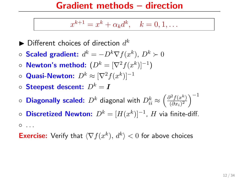#### Gradient methods – direction

$$
x^{k+1} = x^k + \alpha_k d^k, \quad k = 0, 1, \dots
$$

- $\blacktriangleright$  Different choices of direction  $d^k$
- $\circ$  Scaled gradient:  $d^k = -D^k \nabla f(x^k)$ ,  $D^k \succ 0$
- $\circ$  Newton's method:  $(D^k = [\nabla^2 f(x^k)]^{-1})$
- $\circ$  Quasi-Newton:  $D^k \approx [\nabla^2 f(x^k)]^{-1}$
- $\circ$  Steepest descent:  $D^k = I$
- $\circ$  Diagonally scaled:  $D^k$  diagonal with  $D_{ii}^k \approx \left(\frac{\partial^2 f(x^k)}{(\partial x_i)^2}\right)$  $\frac{\partial^2 f(x^k)}{(\partial x_i)^2}$  $\Big)^{-1}$
- Discretized Newton:  $D^k = [H(x^k)]^{-1}$ ,  $H$  via finite-diff.  $^{\circ}$  ...

**Exercise:** Verify that  $\langle \nabla f(x^k), d^k \rangle < 0$  for above choices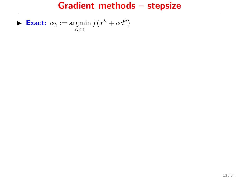$$
\blacktriangleright \text{ Exact: } \alpha_k := \operatorname*{argmin}_{\alpha \geq 0} f(x^k + \alpha d^k)
$$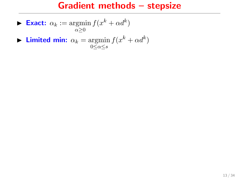$$
\blacktriangleright \text{ Exact: } \alpha_k := \operatorname*{argmin}_{\alpha \geq 0} f(x^k + \alpha d^k)
$$

**Limited min:** 
$$
\alpha_k = \operatorname*{argmin}_{0 \leq \alpha \leq s} f(x^k + \alpha d^k)
$$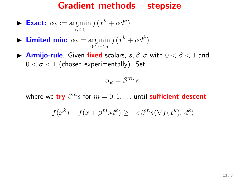$$
\blacktriangleright \text{ Exact: } \alpha_k := \operatorname*{argmin}_{\alpha \geq 0} f(x^k + \alpha d^k)
$$

- **Limited min:**  $\alpha_k = \operatorname{argmin} f(x^k + \alpha d^k)$  $0 \leq \alpha \leq s$
- **Armijo-rule**. Given fixed scalars,  $s, \beta, \sigma$  with  $0 < \beta < 1$  and  $0 < \sigma < 1$  (chosen experimentally). Set

$$
\alpha_k = \beta^{m_k} s,
$$

where we try  $\beta^m s$  for  $m = 0, 1, \ldots$  until sufficient descent

$$
f(x^{k}) - f(x + \beta^{m} s d^{k}) \ge -\sigma \beta^{m} s \langle \nabla f(x^{k}), d^{k} \rangle
$$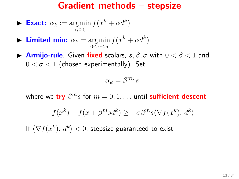$$
\blacktriangleright \text{ Exact: } \alpha_k := \operatorname*{argmin}_{\alpha \geq 0} f(x^k + \alpha d^k)
$$

- **Limited min:**  $\alpha_k = \operatorname{argmin} f(x^k + \alpha d^k)$  $0 \leq \alpha \leq s$
- **Armijo-rule**. Given fixed scalars,  $s, \beta, \sigma$  with  $0 < \beta < 1$  and  $0 < \sigma < 1$  (chosen experimentally). Set

$$
\alpha_k = \beta^{m_k} s,
$$

where we try  $\beta^m s$  for  $m = 0, 1, \ldots$  until sufficient descent

$$
f(x^{k}) - f(x + \beta^{m} s d^{k}) \ge -\sigma \beta^{m} s \langle \nabla f(x^{k}), d^{k} \rangle
$$

If  $\langle \nabla f(x^k), d^k \rangle < 0$ , stepsize guaranteed to exist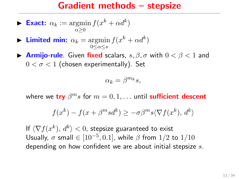$$
\blacktriangleright \text{ Exact: } \alpha_k := \operatorname*{argmin}_{\alpha \geq 0} f(x^k + \alpha d^k)
$$

$$
\blacktriangleright \text{ Limited min: } \alpha_k = \operatorname*{argmin}_{0 \le \alpha \le s} f(x^k + \alpha d^k)
$$

**Armijo-rule**. Given fixed scalars,  $s, \beta, \sigma$  with  $0 < \beta < 1$  and  $0 < \sigma < 1$  (chosen experimentally). Set

$$
\alpha_k = \beta^{m_k} s,
$$

where we try  $\beta^m s$  for  $m = 0, 1, \ldots$  until sufficient descent

$$
f(x^{k}) - f(x + \beta^{m} s d^{k}) \ge -\sigma \beta^{m} s \langle \nabla f(x^{k}), d^{k} \rangle
$$

If  $\langle \nabla f(x^k), d^k \rangle < 0$ , stepsize guaranteed to exist Usually,  $\sigma$  small  $\in [10^{-5}, 0.1]$ , while  $\beta$  from 1/2 to 1/10 depending on how confident we are about initial stepsize  $s$ .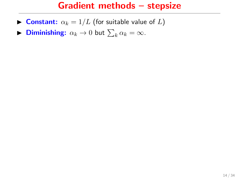- **Constant:**  $\alpha_k = 1/L$  (for suitable value of L)
- **Diminishing:**  $\alpha_k \to 0$  but  $\sum_k \alpha_k = \infty$ .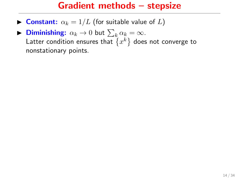- **Constant:**  $\alpha_k = 1/L$  (for suitable value of L)
- **Diminishing:**  $\alpha_k \to 0$  but  $\sum_k \alpha_k = \infty$ . Latter condition ensures that  $\{x^k\}$  does not converge to nonstationary points.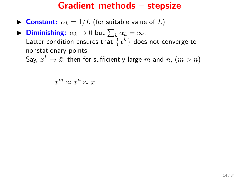- **Constant:**  $\alpha_k = 1/L$  (for suitable value of L)
- **Diminishing:**  $\alpha_k \to 0$  but  $\sum_k \alpha_k = \infty$ . Latter condition ensures that  $\{x^k\}$  does not converge to nonstationary points.

Say,  $x^k \to \bar{x}$ ; then for sufficiently large  $m$  and  $n$ ,  $(m > n)$ 

 $x^m \approx x^n \approx \bar{x},$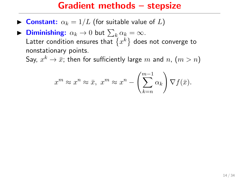- **Constant:**  $\alpha_k = 1/L$  (for suitable value of L)
- **Diminishing:**  $\alpha_k \to 0$  but  $\sum_k \alpha_k = \infty$ . Latter condition ensures that  $\{x^k\}$  does not converge to nonstationary points.

Say,  $x^k \to \bar{x}$ ; then for sufficiently large  $m$  and  $n$ ,  $(m > n)$ 

$$
x^m \approx x^n \approx \bar{x}, \ x^m \approx x^n - \left(\sum_{k=n}^{m-1} \alpha_k\right) \nabla f(\bar{x}).
$$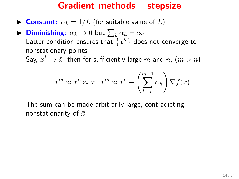- **Constant:**  $\alpha_k = 1/L$  (for suitable value of L)
- **Diminishing:**  $\alpha_k \to 0$  but  $\sum_k \alpha_k = \infty$ . Latter condition ensures that  $\{x^k\}$  does not converge to nonstationary points.

Say,  $x^k \to \bar{x}$ ; then for sufficiently large  $m$  and  $n$ ,  $(m > n)$ 

$$
x^m \approx x^n \approx \bar{x}, \ x^m \approx x^n - \left(\sum_{k=n}^{m-1} \alpha_k\right) \nabla f(\bar{x}).
$$

The sum can be made arbitrarily large, contradicting nonstationarity of  $\bar{x}$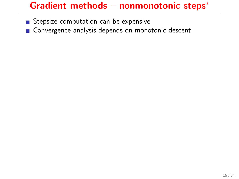- Stepsize computation can be expensive
- Convergence analysis depends on monotonic descent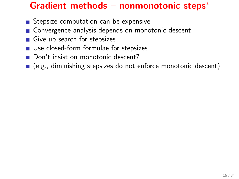- Stepsize computation can be expensive
- Convergence analysis depends on monotonic descent
- Give up search for stepsizes
- Use closed-form formulae for stepsizes
- Don't insist on monotonic descent?
- (e.g., diminishing stepsizes do not enforce monotonic descent)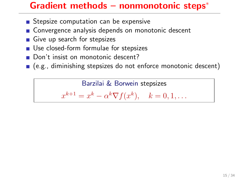- Stepsize computation can be expensive
- Convergence analysis depends on monotonic descent
- Give up search for stepsizes
- Use closed-form formulae for stepsizes
- Don't insist on monotonic descent?
- (e.g., diminishing stepsizes do not enforce monotonic descent)

Barzilai & Borwein stepsizes  $x^{k+1} = x^k - \alpha^k \nabla f(x^k), \quad k = 0, 1, \dots$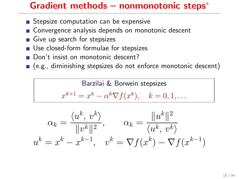- Stepsize computation can be expensive
- Convergence analysis depends on monotonic descent
- Give up search for stepsizes
- Use closed-form formulae for stepsizes
- Don't insist on monotonic descent?
- (e.g., diminishing stepsizes do not enforce monotonic descent)



$$
\alpha_k = \frac{\langle u^k, v^k \rangle}{\|v^k\|^2}, \qquad \alpha_k = \frac{\|u^k\|^2}{\langle u^k, v^k \rangle}
$$

$$
u^k = x^k - x^{k-1}, \quad v^k = \nabla f(x^k) - \nabla f(x^{k-1})
$$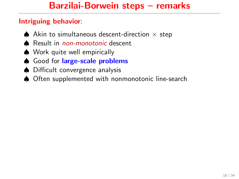#### Intriguing behavior:

- $\spadesuit$  Akin to simultaneous descent-direction  $\times$  step
- **▲** Result in *non-monotonic* descent
- ♠ Work quite well empirically
- Good for large-scale problems
- ♠ Difficult convergence analysis
- ♠ Often supplemented with nonmonotonic line-search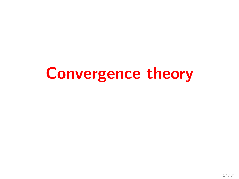# Convergence theory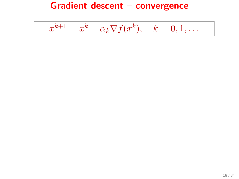$$
x^{k+1} = x^k - \alpha_k \nabla f(x^k), \quad k = 0, 1, \dots
$$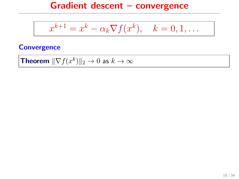$$
x^{k+1} = x^k - \alpha_k \nabla f(x^k), \quad k = 0, 1, \dots
$$

#### **Convergence**

**Theorem** 
$$
\|\nabla f(x^k)\|_2 \to 0
$$
 as  $k \to \infty$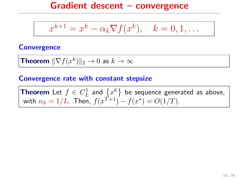$$
x^{k+1} = x^k - \alpha_k \nabla f(x^k), \quad k = 0, 1, \dots
$$

#### **Convergence**

**Theorem** 
$$
\|\nabla f(x^k)\|_2 \to 0
$$
 as  $k \to \infty$ 

#### Convergence rate with constant stepsize

**Theorem** Let  $f \in C_L^1$  and  $\{x^k\}$  be sequence generated as above, with  $\alpha_k = 1/L$ . Then,  $f(x^{T+1}) - f(x^*) = O(1/T)$ .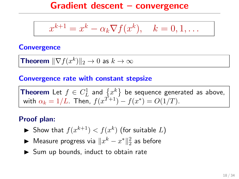$$
x^{k+1} = x^k - \alpha_k \nabla f(x^k), \quad k = 0, 1, \dots
$$

#### **Convergence**

**Theorem** 
$$
\|\nabla f(x^k)\|_2 \to 0
$$
 as  $k \to \infty$ 

#### Convergence rate with constant stepsize

**Theorem** Let  $f \in C_L^1$  and  $\{x^k\}$  be sequence generated as above, with  $\alpha_k = 1/L$ . Then,  $f(x^{T+1}) - f(x^*) = O(1/T)$ .

#### Proof plan:

- $\blacktriangleright$  Show that  $f(x^{k+1}) < f(x^k)$  (for suitable  $L$ )
- ► Measure progress via  $\|x^k x^*\|_2^2$  as before
- $\triangleright$  Sum up bounds, induct to obtain rate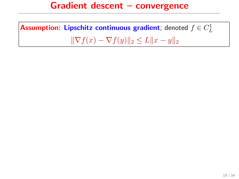**Assumption: Lipschitz continuous gradient**; denoted  $f \in C^1_L$  $\|\nabla f(x) - \nabla f(y)\|_2 \leq L\|x - y\|_2$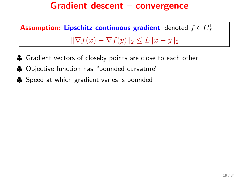**Assumption: Lipschitz continuous gradient**; denoted  $f \in C^1_L$  $\|\nabla f(x) - \nabla f(y)\|_2 \leq L \|x - y\|_2$ 

- ♣ Gradient vectors of closeby points are close to each other
- ♣ Objective function has "bounded curvature"
- **♣** Speed at which gradient varies is bounded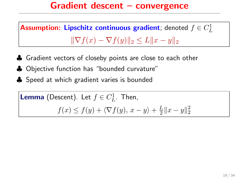**Assumption: Lipschitz continuous gradient**; denoted  $f \in C^1_L$  $\|\nabla f(x) - \nabla f(y)\|_2 \leq L \|x - y\|_2$ 

- ♣ Gradient vectors of closeby points are close to each other
- ♣ Objective function has "bounded curvature"
- **♣** Speed at which gradient varies is bounded

**Lemma** (Descent). Let 
$$
f \in C_L^1
$$
. Then,  
 $f(x) \le f(y) + \langle \nabla f(y), x - y \rangle + \frac{L}{2} ||x - y||_2^2$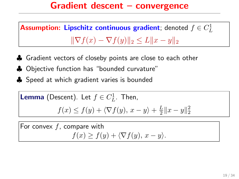**Assumption: Lipschitz continuous gradient**; denoted  $f \in C^1_L$  $\|\nabla f(x) - \nabla f(y)\|_2 \leq L \|x - y\|_2$ 

- ♣ Gradient vectors of closeby points are close to each other
- ♣ Objective function has "bounded curvature"
- **♣** Speed at which gradient varies is bounded

**Lemma** (Descent). Let 
$$
f \in C_L^1
$$
. Then,  
 $f(x) \le f(y) + \langle \nabla f(y), x - y \rangle + \frac{L}{2} ||x - y||_2^2$ 

For convex  $f$ , compare with  $f(x) \geq f(y) + \langle \nabla f(y), x - y \rangle.$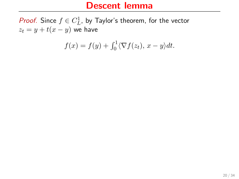*Proof.* Since  $f \in C^1_L$ , by Taylor's theorem, for the vector  $z_t = y + t(x - y)$  we have

$$
f(x) = f(y) + \int_0^1 \langle \nabla f(z_t), x - y \rangle dt.
$$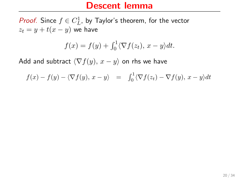*Proof.* Since  $f \in C^1_L$ , by Taylor's theorem, for the vector  $z_t = y + t(x - y)$  we have

$$
f(x) = f(y) + \int_0^1 \langle \nabla f(z_t), x - y \rangle dt.
$$

$$
f(x) - f(y) - \langle \nabla f(y), x - y \rangle = \int_0^1 \langle \nabla f(z_t) - \nabla f(y), x - y \rangle dt
$$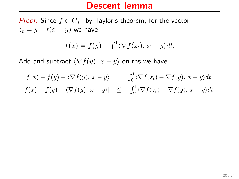*Proof.* Since  $f \in C^1_L$ , by Taylor's theorem, for the vector  $z_t = y + t(x - y)$  we have

$$
f(x) = f(y) + \int_0^1 \langle \nabla f(z_t), x - y \rangle dt.
$$

$$
f(x) - f(y) - \langle \nabla f(y), x - y \rangle = \int_0^1 \langle \nabla f(z_t) - \nabla f(y), x - y \rangle dt
$$
  

$$
|f(x) - f(y) - \langle \nabla f(y), x - y \rangle| \leq \left| \int_0^1 \langle \nabla f(z_t) - \nabla f(y), x - y \rangle dt \right|
$$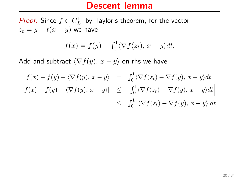*Proof.* Since  $f \in C^1_L$ , by Taylor's theorem, for the vector  $z_t = y + t(x - y)$  we have

$$
f(x) = f(y) + \int_0^1 \langle \nabla f(z_t), x - y \rangle dt.
$$

$$
f(x) - f(y) - \langle \nabla f(y), x - y \rangle = \int_0^1 \langle \nabla f(z_t) - \nabla f(y), x - y \rangle dt
$$
  
\n
$$
|f(x) - f(y) - \langle \nabla f(y), x - y \rangle| \leq \left| \int_0^1 \langle \nabla f(z_t) - \nabla f(y), x - y \rangle dt \right|
$$
  
\n
$$
\leq \int_0^1 |\langle \nabla f(z_t) - \nabla f(y), x - y \rangle| dt
$$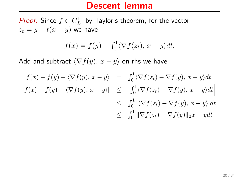*Proof.* Since  $f \in C^1_L$ , by Taylor's theorem, for the vector  $z_t = y + t(x - y)$  we have

$$
f(x) = f(y) + \int_0^1 \langle \nabla f(z_t), x - y \rangle dt.
$$

$$
f(x) - f(y) - \langle \nabla f(y), x - y \rangle = \int_0^1 \langle \nabla f(z_t) - \nabla f(y), x - y \rangle dt
$$
  
\n
$$
|f(x) - f(y) - \langle \nabla f(y), x - y \rangle| \leq \left| \int_0^1 \langle \nabla f(z_t) - \nabla f(y), x - y \rangle dt \right|
$$
  
\n
$$
\leq \int_0^1 |\langle \nabla f(z_t) - \nabla f(y), x - y \rangle| dt
$$
  
\n
$$
\leq \int_0^1 \|\nabla f(z_t) - \nabla f(y)\|_2 x - y dt
$$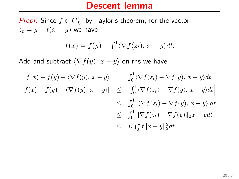*Proof.* Since  $f \in C^1_L$ , by Taylor's theorem, for the vector  $z_t = y + t(x - y)$  we have

$$
f(x) = f(y) + \int_0^1 \langle \nabla f(z_t), x - y \rangle dt.
$$

$$
f(x) - f(y) - \langle \nabla f(y), x - y \rangle = \int_0^1 \langle \nabla f(z_t) - \nabla f(y), x - y \rangle dt
$$
  
\n
$$
|f(x) - f(y) - \langle \nabla f(y), x - y \rangle| \leq \left| \int_0^1 \langle \nabla f(z_t) - \nabla f(y), x - y \rangle dt \right|
$$
  
\n
$$
\leq \int_0^1 |\langle \nabla f(z_t) - \nabla f(y), x - y \rangle| dt
$$
  
\n
$$
\leq \int_0^1 \|\nabla f(z_t) - \nabla f(y)\|_2 x - y dt
$$
  
\n
$$
\leq L \int_0^1 t \|x - y\|_2^2 dt
$$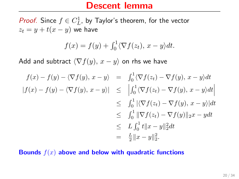*Proof.* Since  $f \in C^1_L$ , by Taylor's theorem, for the vector  $z_t = y + t(x - y)$  we have

$$
f(x) = f(y) + \int_0^1 \langle \nabla f(z_t), x - y \rangle dt.
$$

Add and subtract  $\langle \nabla f(y), x - y \rangle$  on rhs we have

$$
f(x) - f(y) - \langle \nabla f(y), x - y \rangle = \int_0^1 \langle \nabla f(z_t) - \nabla f(y), x - y \rangle dt
$$
  
\n
$$
|f(x) - f(y) - \langle \nabla f(y), x - y \rangle| \leq \left| \int_0^1 \langle \nabla f(z_t) - \nabla f(y), x - y \rangle dt \right|
$$
  
\n
$$
\leq \int_0^1 |\langle \nabla f(z_t) - \nabla f(y), x - y \rangle| dt
$$
  
\n
$$
\leq \int_0^1 \|\nabla f(z_t) - \nabla f(y)\|_2 x - y dt
$$
  
\n
$$
\leq L \int_0^1 t \|x - y\|_2^2 dt
$$
  
\n
$$
= \frac{L}{2} \|x - y\|_2^2.
$$

Bounds  $f(x)$  above and below with quadratic functions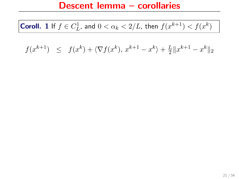# **Coroll.** 1 If  $f \in C^1_L$ , and  $0 < \alpha_k < 2/L$ , then  $f(x^{k+1}) < f(x^k)$

#### $f(x^{k+1}) \leq f(x^k) + \langle \nabla f(x^k), x^{k+1} - x^k \rangle + \frac{L}{2}$  $\frac{L}{2} \|x^{k+1} - x^k\|_2$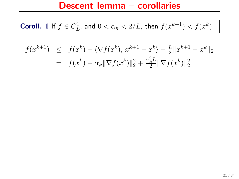# **Coroll.** 1 If  $f \in C^1_L$ , and  $0 < \alpha_k < 2/L$ , then  $f(x^{k+1}) < f(x^k)$

$$
f(x^{k+1}) \leq f(x^k) + \langle \nabla f(x^k), x^{k+1} - x^k \rangle + \frac{L}{2} ||x^{k+1} - x^k||_2
$$
  
=  $f(x^k) - \alpha_k ||\nabla f(x^k)||_2^2 + \frac{\alpha_k^2 L}{2} ||\nabla f(x^k)||_2^2$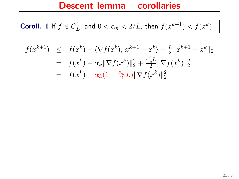# **Coroll.** 1 If  $f \in C^1_L$ , and  $0 < \alpha_k < 2/L$ , then  $f(x^{k+1}) < f(x^k)$

$$
f(x^{k+1}) \leq f(x^k) + \langle \nabla f(x^k), x^{k+1} - x^k \rangle + \frac{L}{2} ||x^{k+1} - x^k||_2
$$
  
=  $f(x^k) - \alpha_k ||\nabla f(x^k)||_2^2 + \frac{\alpha_k^2 L}{2} ||\nabla f(x^k)||_2^2$   
=  $f(x^k) - \alpha_k (1 - \frac{\alpha_k}{2} L) ||\nabla f(x^k)||_2^2$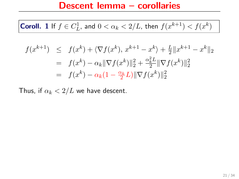**Coroll.** 1 If  $f \in C^1_L$ , and  $0 < \alpha_k < 2/L$ , then  $f(x^{k+1}) < f(x^k)$ 

$$
f(x^{k+1}) \leq f(x^k) + \langle \nabla f(x^k), x^{k+1} - x^k \rangle + \frac{L}{2} ||x^{k+1} - x^k||_2
$$
  
=  $f(x^k) - \alpha_k ||\nabla f(x^k)||_2^2 + \frac{\alpha_k^2 L}{2} ||\nabla f(x^k)||_2^2$   
=  $f(x^k) - \alpha_k (1 - \frac{\alpha_k}{2} L) ||\nabla f(x^k)||_2^2$ 

Thus, if  $\alpha_k < 2/L$  we have descent.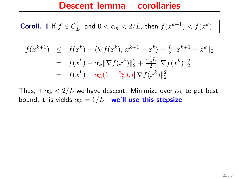**Coroll.** 1 If  $f \in C^1_L$ , and  $0 < \alpha_k < 2/L$ , then  $f(x^{k+1}) < f(x^k)$ 

$$
f(x^{k+1}) \leq f(x^k) + \langle \nabla f(x^k), x^{k+1} - x^k \rangle + \frac{L}{2} ||x^{k+1} - x^k||_2
$$
  
=  $f(x^k) - \alpha_k ||\nabla f(x^k)||_2^2 + \frac{\alpha_k^2 L}{2} ||\nabla f(x^k)||_2^2$   
=  $f(x^k) - \alpha_k (1 - \frac{\alpha_k}{2} L) ||\nabla f(x^k)||_2^2$ 

Thus, if  $\alpha_k < 2/L$  we have descent. Minimize over  $\alpha_k$  to get best bound: this yields  $\alpha_k = 1/L$ —we'll use this stepsize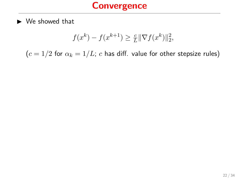$$
f(x^k) - f(x^{k+1}) \ge \frac{c}{L} \|\nabla f(x^k)\|_2^2,
$$

 $(c = 1/2$  for  $\alpha_k = 1/L$ ; c has diff. value for other stepsize rules)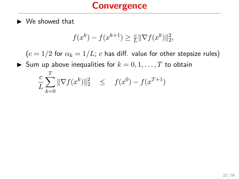$\sigma$ 

$$
f(x^k) - f(x^{k+1}) \ge \frac{c}{L} \|\nabla f(x^k)\|_2^2,
$$

 $(c = 1/2$  for  $\alpha_k = 1/L$ ; c has diff. value for other stepsize rules)

Sum up above inequalities for  $k = 0, 1, \ldots, T$  to obtain

$$
\frac{c}{L} \sum_{k=0}^{I} \|\nabla f(x^k)\|_2^2 \leq f(x^0) - f(x^{T+1})
$$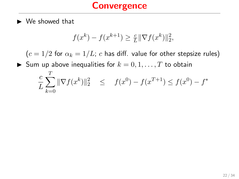$$
f(x^k) - f(x^{k+1}) \ge \frac{c}{L} \|\nabla f(x^k)\|_2^2,
$$

 $(c = 1/2$  for  $\alpha_k = 1/L$ ; c has diff. value for other stepsize rules)

Sum up above inequalities for  $k = 0, 1, \ldots, T$  to obtain T  $\sim$  $\sim$ 

$$
\frac{c}{L} \sum_{k=0}^{L} \|\nabla f(x^k)\|_2^2 \leq f(x^0) - f(x^{T+1}) \leq f(x^0) - f^*
$$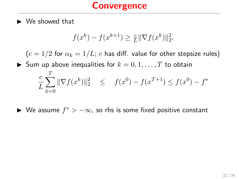$$
f(x^{k}) - f(x^{k+1}) \ge \frac{c}{L} \|\nabla f(x^{k})\|_2^2,
$$

 $(c = 1/2$  for  $\alpha_k = 1/L$ ; c has diff. value for other stepsize rules) Sum up above inequalities for  $k = 0, 1, \ldots, T$  to obtain c L  $\sum$ T  $_{k=0}$  $\|\nabla f(x^k)\|_2^2 \leq f(x^0) - f(x^{T+1}) \leq f(x^0) - f^*$ 

► We assume  $f^*$  >  $-\infty$ , so rhs is some fixed positive constant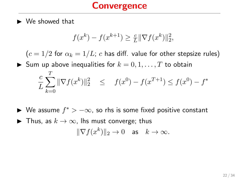$\blacktriangleright$  We showed that

$$
f(x^k) - f(x^{k+1}) \ge \frac{c}{L} \|\nabla f(x^k)\|_2^2,
$$

 $(c = 1/2$  for  $\alpha_k = 1/L$ ; c has diff. value for other stepsize rules) Sum up above inequalities for  $k = 0, 1, \ldots, T$  to obtain c L  $\sum$ T  $_{k=0}$  $\|\nabla f(x^k)\|_2^2 \leq f(x^0) - f(x^{T+1}) \leq f(x^0) - f^*$ 

- ► We assume  $f^*$  >  $-\infty$ , so rhs is some fixed positive constant
- ▶ Thus, as  $k \to \infty$ , lhs must converge; thus  $\|\nabla f(x^k)\|_2 \to 0 \text{ as } k \to \infty.$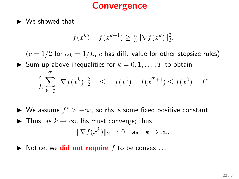$\blacktriangleright$  We showed that

$$
f(x^{k}) - f(x^{k+1}) \ge \frac{c}{L} \|\nabla f(x^{k})\|_2^2,
$$

 $(c = 1/2$  for  $\alpha_k = 1/L$ ; c has diff. value for other stepsize rules) Sum up above inequalities for  $k = 0, 1, \ldots, T$  to obtain c L  $\sum$ T  $_{k=0}$  $\|\nabla f(x^k)\|_2^2 \leq f(x^0) - f(x^{T+1}) \leq f(x^0) - f^*$ 

- ► We assume  $f^*$  >  $-\infty$ , so rhs is some fixed positive constant
- ▶ Thus, as  $k \to \infty$ , lhs must converge; thus  $\|\nabla f(x^k)\|_2 \to 0 \text{ as } k \to \infty.$
- $\blacktriangleright$  Notice, we **did not require** f to be convex ...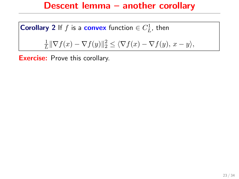# Descent lemma – another corollary

**Corollary 2** If  $f$  is a **convex** function  $\in C_L^1$ , then

$$
\frac{1}{L} \|\nabla f(x) - \nabla f(y)\|_2^2 \le \langle \nabla f(x) - \nabla f(y), x - y \rangle,
$$

**Exercise:** Prove this corollary.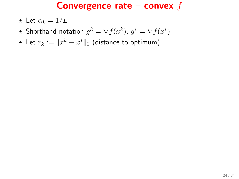- $\star$  Let  $\alpha_k = 1/L$
- $\star$  Shorthand notation  $g^k = \nabla f(x^k)$ ,  $g^* = \nabla f(x^*)$
- ★ Let  $r_k := \|x^k x^*\|_2$  (distance to optimum)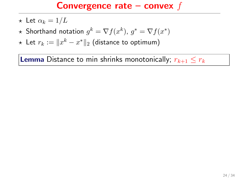- $\star$  Let  $\alpha_k = 1/L$
- $\star$  Shorthand notation  $g^k = \nabla f(x^k)$ ,  $g^* = \nabla f(x^*)$
- ★ Let  $r_k := \|x^k x^*\|_2$  (distance to optimum)

**Lemma** Distance to min shrinks monotonically;  $r_{k+1} \leq r_k$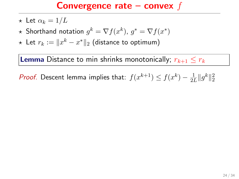- $\star$  Let  $\alpha_k = 1/L$
- $\star$  Shorthand notation  $g^k = \nabla f(x^k)$ ,  $g^* = \nabla f(x^*)$
- ★ Let  $r_k := \|x^k x^*\|_2$  (distance to optimum)

**Lemma** Distance to min shrinks monotonically;  $r_{k+1} \leq r_k$ 

*Proof.* Descent lemma implies that:  $f(x^{k+1}) \le f(x^k) - \frac{1}{2l}$  $\frac{1}{2L} \|g^k\|_2^2$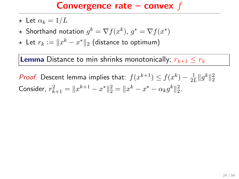- $\star$  Let  $\alpha_k = 1/L$
- $\star$  Shorthand notation  $g^k = \nabla f(x^k)$ ,  $g^* = \nabla f(x^*)$
- ★ Let  $r_k := \|x^k x^*\|_2$  (distance to optimum)

**Lemma** Distance to min shrinks monotonically;  $r_{k+1} < r_k$ 

*Proof.* Descent lemma implies that:  $f(x^{k+1}) \le f(x^k) - \frac{1}{2l}$  $\frac{1}{2L} \|g^k\|_2^2$ Consider,  $r_{k+1}^2 = ||x^{k+1} - x^*||_2^2 = ||x^k - x^* - \alpha_k g^k||_2^2$ .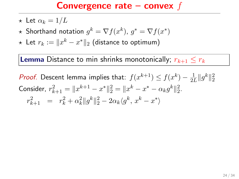- $\star$  Let  $\alpha_k = 1/L$
- $\star$  Shorthand notation  $g^k = \nabla f(x^k)$ ,  $g^* = \nabla f(x^*)$
- ★ Let  $r_k := \|x^k x^*\|_2$  (distance to optimum)

**Lemma** Distance to min shrinks monotonically;  $r_{k+1} < r_k$ 

*Proof.* Descent lemma implies that:  $f(x^{k+1}) \le f(x^k) - \frac{1}{2l}$  $\frac{1}{2L} \|g^k\|_2^2$ Consider,  $r_{k+1}^2 = ||x^{k+1} - x^*||_2^2 = ||x^k - x^* - \alpha_k g^k||_2^2$ .  $r_{k+1}^2 = r_k^2 + \alpha_k^2 \|g^k\|_2^2 - 2\alpha_k \langle g^k, x^k - x^* \rangle$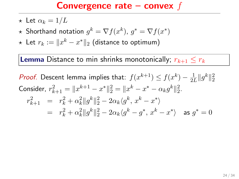- $\star$  Let  $\alpha_k = 1/L$
- $\star$  Shorthand notation  $g^k = \nabla f(x^k)$ ,  $g^* = \nabla f(x^*)$
- ★ Let  $r_k := \|x^k x^*\|_2$  (distance to optimum)

**Lemma** Distance to min shrinks monotonically;  $r_{k+1} \leq r_k$ 

*Proof.* Descent lemma implies that:  $f(x^{k+1}) \le f(x^k) - \frac{1}{2l}$  $\frac{1}{2L} \|g^k\|_2^2$ Consider,  $r_{k+1}^2 = ||x^{k+1} - x^*||_2^2 = ||x^k - x^* - \alpha_k g^k||_2^2$ .  $r_{k+1}^2 = r_k^2 + \alpha_k^2 \|g^k\|_2^2 - 2\alpha_k \langle g^k, x^k - x^* \rangle$  $= r_k^2 + \alpha_k^2 \|g^k\|_2^2 - 2\alpha_k \langle g^k - g^*, x^k - x^* \rangle$  as  $g^* = 0$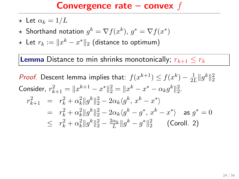- $\star$  Let  $\alpha_k = 1/L$
- $\star$  Shorthand notation  $g^k = \nabla f(x^k)$ ,  $g^* = \nabla f(x^*)$
- ★ Let  $r_k := \|x^k x^*\|_2$  (distance to optimum)

**Lemma** Distance to min shrinks monotonically;  $r_{k+1} < r_k$ 

*Proof.* Descent lemma implies that:  $f(x^{k+1}) \le f(x^k) - \frac{1}{2l}$  $\frac{1}{2L} \|g^k\|_2^2$ Consider,  $r_{k+1}^2 = ||x^{k+1} - x^*||_2^2 = ||x^k - x^* - \alpha_k g^k||_2^2$ .  $r_{k+1}^2 = r_k^2 + \alpha_k^2 \|g^k\|_2^2 - 2\alpha_k \langle g^k, x^k - x^* \rangle$  $= r_k^2 + \alpha_k^2 \|g^k\|_2^2 - 2\alpha_k \langle g^k - g^*, x^k - x^* \rangle$  as  $g^* = 0$  $\leq r_k^2 + \alpha_k^2 \|g^k\|_2^2 - \frac{2\alpha_k}{L} \|g^k - g^*\|_2^2$  (Coroll. 2)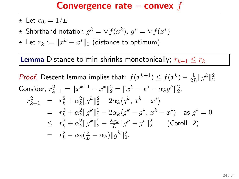- $\star$  Let  $\alpha_k = 1/L$
- $\star$  Shorthand notation  $g^k = \nabla f(x^k)$ ,  $g^* = \nabla f(x^*)$
- ★ Let  $r_k := \|x^k x^*\|_2$  (distance to optimum)

**Lemma** Distance to min shrinks monotonically;  $r_{k+1} < r_k$ 

*Proof.* Descent lemma implies that:  $f(x^{k+1}) \le f(x^k) - \frac{1}{2l}$  $\frac{1}{2L} \|g^k\|_2^2$ Consider,  $r_{k+1}^2 = ||x^{k+1} - x^*||_2^2 = ||x^k - x^* - \alpha_k g^k||_2^2$ .  $r_{k+1}^2 = r_k^2 + \alpha_k^2 \|g^k\|_2^2 - 2\alpha_k \langle g^k, x^k - x^* \rangle$  $= r_k^2 + \alpha_k^2 \|g^k\|_2^2 - 2\alpha_k \langle g^k - g^*, x^k - x^* \rangle$  as  $g^* = 0$  $\leq r_k^2 + \alpha_k^2 \|g^k\|_2^2 - \frac{2\alpha_k}{L} \|g^k - g^*\|_2^2$  (Coroll. 2)  $= r_k^2 - \alpha_k(\frac{2}{L} - \alpha_k) \|g^k\|_2^2.$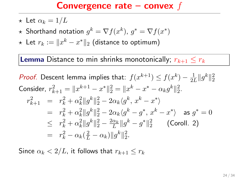- $\star$  Let  $\alpha_k = 1/L$
- $\star$  Shorthand notation  $g^k = \nabla f(x^k)$ ,  $g^* = \nabla f(x^*)$
- ★ Let  $r_k := \|x^k x^*\|_2$  (distance to optimum)

**Lemma** Distance to min shrinks monotonically;  $r_{k+1} \leq r_k$ 

*Proof.* Descent lemma implies that:  $f(x^{k+1}) \le f(x^k) - \frac{1}{2l}$  $\frac{1}{2L} \|g^k\|_2^2$ Consider,  $r_{k+1}^2 = ||x^{k+1} - x^*||_2^2 = ||x^k - x^* - \alpha_k g^k||_2^2$ .  $r_{k+1}^2 = r_k^2 + \alpha_k^2 \|g^k\|_2^2 - 2\alpha_k \langle g^k, x^k - x^* \rangle$  $= r_k^2 + \alpha_k^2 \|g^k\|_2^2 - 2\alpha_k \langle g^k - g^*, x^k - x^* \rangle$  as  $g^* = 0$  $\leq r_k^2 + \alpha_k^2 \|g^k\|_2^2 - \frac{2\alpha_k}{L} \|g^k - g^*\|_2^2$  (Coroll. 2)  $= r_k^2 - \alpha_k(\frac{2}{L} - \alpha_k) \|g^k\|_2^2.$ 

Since  $\alpha_k < 2/L$ , it follows that  $r_{k+1} \leq r_k$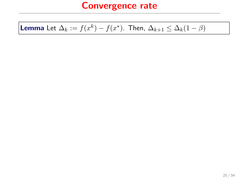# **Lemma** Let  $\Delta_k := f(x^k) - f(x^*)$ . Then,  $\Delta_{k+1} \leq \Delta_k(1-\beta)$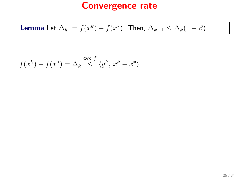# **Lemma** Let  $\Delta_k := f(x^k) - f(x^*)$ . Then,  $\Delta_{k+1} \leq \Delta_k(1-\beta)$

$$
f(x^k) - f(x^*) = \Delta_k \stackrel{\text{cvx } f}{\leq} \langle g^k, x^k - x^* \rangle
$$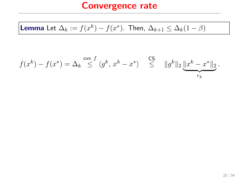**Lemma** Let 
$$
\Delta_k := f(x^k) - f(x^*)
$$
. Then,  $\Delta_{k+1} \leq \Delta_k (1 - \beta)$ 

$$
f(x^k) - f(x^*) = \Delta_k \stackrel{\mathsf{cvx}}{\leq} \langle g^k, x^k - x^* \rangle \stackrel{\mathsf{CS}}{\leq} ||g^k||_2 \underbrace{||x^k - x^*||_2}_{r_k}.
$$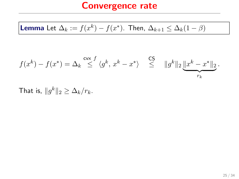**Lemma** Let 
$$
\Delta_k := f(x^k) - f(x^*)
$$
. Then,  $\Delta_{k+1} \leq \Delta_k (1 - \beta)$ 

$$
f(x^k) - f(x^*) = \Delta_k \stackrel{\mathsf{cvx}}{\leq} \langle g^k, x^k - x^* \rangle \stackrel{\mathsf{CS}}{\leq} ||g^k||_2 \underbrace{||x^k - x^*||_2}_{r_k}.
$$

That is,  $||g^k||_2 \geq \Delta_k/r_k$ .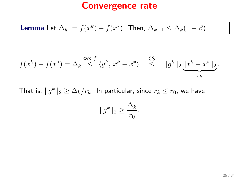**Lemma** Let 
$$
\Delta_k := f(x^k) - f(x^*)
$$
. Then,  $\Delta_{k+1} \leq \Delta_k (1 - \beta)$ 

$$
f(x^k) - f(x^*) = \Delta_k \stackrel{\mathsf{cvx}}{\leq} \langle g^k, x^k - x^* \rangle \stackrel{\mathsf{CS}}{\leq} ||g^k||_2 \underbrace{||x^k - x^*||_2}_{r_k}.
$$

That is,  $\|g^k\|_2 \geq \Delta_k/r_k$ . In particular, since  $r_k \leq r_0$ , we have  $||g^k||_2 \geq$  $\Delta_k$  $\frac{-\kappa}{r_0}$ .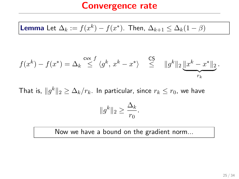**Lemma** Let 
$$
\Delta_k := f(x^k) - f(x^*)
$$
. Then,  $\Delta_{k+1} \leq \Delta_k (1 - \beta)$ 

$$
f(x^k) - f(x^*) = \Delta_k \stackrel{\mathsf{cvx}}{\leq} \langle g^k, x^k - x^* \rangle \stackrel{\mathsf{CS}}{\leq} ||g^k||_2 \underbrace{||x^k - x^*||_2}_{r_k}.
$$

That is,  $\|g^k\|_2 \geq \Delta_k/r_k$ . In particular, since  $r_k \leq r_0$ , we have  $||g^k||_2 \geq$  $\Delta_k$  $\frac{-\kappa}{r_0}$ .

Now we have a bound on the gradient norm...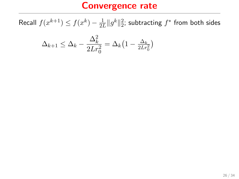Recall  $f(x^{k+1}) \leq f(x^k) - \frac{1}{2l}$  $\frac{1}{2L}\|g^k\|_2^2$ ; subtracting  $f^*$  from both sides

$$
\Delta_{k+1} \le \Delta_k - \frac{\Delta_k^2}{2Lr_0^2} = \Delta_k \left(1 - \frac{\Delta_k}{2Lr_0^2}\right)
$$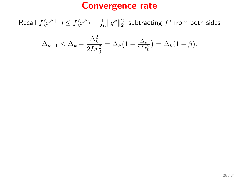Recall  $f(x^{k+1}) \leq f(x^k) - \frac{1}{2l}$  $\frac{1}{2L}\|g^k\|_2^2$ ; subtracting  $f^*$  from both sides

$$
\Delta_{k+1} \leq \Delta_k - \frac{\Delta_k^2}{2Lr_0^2} = \Delta_k \left(1 - \frac{\Delta_k}{2Lr_0^2}\right) = \Delta_k (1 - \beta).
$$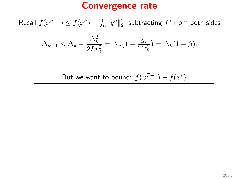Recall  $f(x^{k+1}) \leq f(x^k) - \frac{1}{2l}$  $\frac{1}{2L}\|g^k\|_2^2$ ; subtracting  $f^*$  from both sides

$$
\Delta_{k+1} \leq \Delta_k - \frac{\Delta_k^2}{2Lr_0^2} = \Delta_k \left(1 - \frac{\Delta_k}{2Lr_0^2}\right) = \Delta_k (1 - \beta).
$$

But we want to bound:  $f(x^{T+1}) - f(x^*)$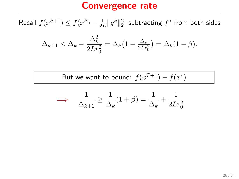Recall  $f(x^{k+1}) \leq f(x^k) - \frac{1}{2l}$  $\frac{1}{2L}\|g^k\|_2^2$ ; subtracting  $f^*$  from both sides

$$
\Delta_{k+1} \leq \Delta_k - \frac{\Delta_k^2}{2Lr_0^2} = \Delta_k \left(1 - \frac{\Delta_k}{2Lr_0^2}\right) = \Delta_k (1 - \beta).
$$

But we want to bound:  $f(x^{T+1}) - f(x^*)$ 

$$
\implies \frac{1}{\Delta_{k+1}} \ge \frac{1}{\Delta_k}(1+\beta) = \frac{1}{\Delta_k} + \frac{1}{2Lr_0^2}
$$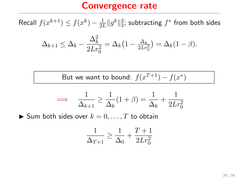Recall  $f(x^{k+1}) \leq f(x^k) - \frac{1}{2l}$  $\frac{1}{2L}\|g^k\|_2^2$ ; subtracting  $f^*$  from both sides

$$
\Delta_{k+1} \leq \Delta_k - \frac{\Delta_k^2}{2Lr_0^2} = \Delta_k \left(1 - \frac{\Delta_k}{2Lr_0^2}\right) = \Delta_k (1 - \beta).
$$

But we want to bound:  $f(x^{T+1}) - f(x^*)$ 

$$
\implies \frac{1}{\Delta_{k+1}} \ge \frac{1}{\Delta_k} (1+\beta) = \frac{1}{\Delta_k} + \frac{1}{2Lr_0^2}
$$

 $\blacktriangleright$  Sum both sides over  $k = 0, \ldots, T$  to obtain

$$
\frac{1}{\Delta_{T+1}} \ge \frac{1}{\Delta_0} + \frac{T+1}{2Lr_0^2}
$$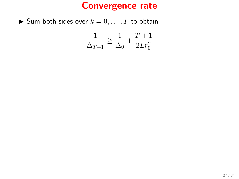$\blacktriangleright$  Sum both sides over  $k = 0, \ldots, T$  to obtain

$$
\frac{1}{\Delta_{T+1}} \ge \frac{1}{\Delta_0} + \frac{T+1}{2Lr_0^2}
$$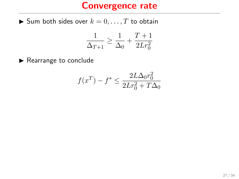$\blacktriangleright$  Sum both sides over  $k = 0, \ldots, T$  to obtain

$$
\frac{1}{\Delta_{T+1}}\geq \frac{1}{\Delta_0}+\frac{T+1}{2Lr_0^2}
$$

 $\blacktriangleright$  Rearrange to conclude

$$
f(x^{T}) - f^* \le \frac{2L\Delta_0 r_0^2}{2Lr_0^2 + T\Delta_0}
$$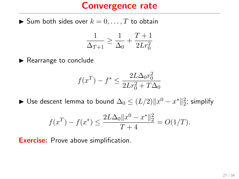$\blacktriangleright$  Sum both sides over  $k = 0, \ldots, T$  to obtain

$$
\frac{1}{\Delta_{T+1}} \ge \frac{1}{\Delta_0} + \frac{T+1}{2Lr_0^2}
$$

 $\blacktriangleright$  Rearrange to conclude

$$
f(x^{T}) - f^* \le \frac{2L\Delta_0 r_0^2}{2Lr_0^2 + T\Delta_0}
$$

► Use descent lemma to bound  $\Delta_0 \leq (L/2) \|x^0 - x^*\|_2^2$ ; simplify

$$
f(x^{T}) - f(x^{*}) \le \frac{2L\Delta_{0}||x^{0} - x^{*}||_{2}^{2}}{T+4} = O(1/T).
$$

**Exercise:** Prove above simplification.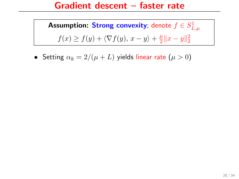#### Gradient descent – faster rate

**Assumption: Strong convexity**; denote  $f \in S_{L,\mu}^1$  $f(x) \ge f(y) + \langle \nabla f(y), x - y \rangle + \frac{\mu}{2}$  $\frac{\mu}{2} \|x - y\|_2^2$ 

• Setting  $\alpha_k = 2/(\mu + L)$  yields linear rate  $(\mu > 0)$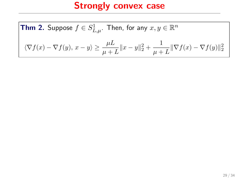**Thm 2.** Suppose 
$$
f \in S^1_{L,\mu}
$$
. Then, for any  $x, y \in \mathbb{R}^n$   

$$
\langle \nabla f(x) - \nabla f(y), x - y \rangle \ge \frac{\mu L}{\mu + L} \|x - y\|_2^2 + \frac{1}{\mu + L} \|\nabla f(x) - \nabla f(y)\|_2^2
$$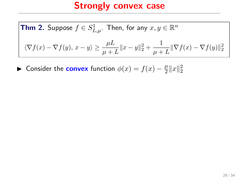**Thm 2.** Suppose 
$$
f \in S^1_{L,\mu}
$$
. Then, for any  $x, y \in \mathbb{R}^n$   

$$
\langle \nabla f(x) - \nabla f(y), x - y \rangle \ge \frac{\mu L}{\mu + L} ||x - y||_2^2 + \frac{1}{\mu + L} ||\nabla f(x) - \nabla f(y)||_2^2
$$

► Consider the **convex** function  $\phi(x) = f(x) - \frac{\mu}{2}$  $\frac{\mu}{2}||x||_2^2$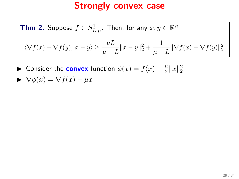**Thm 2.** Suppose 
$$
f \in S^1_{L,\mu}
$$
. Then, for any  $x, y \in \mathbb{R}^n$   

$$
\langle \nabla f(x) - \nabla f(y), x - y \rangle \ge \frac{\mu L}{\mu + L} ||x - y||_2^2 + \frac{1}{\mu + L} ||\nabla f(x) - \nabla f(y)||_2^2
$$

► Consider the **convex** function  $\phi(x) = f(x) - \frac{\mu}{2}$  $\frac{\mu}{2}||x||_2^2$ 

$$
\blacktriangleright \nabla \phi(x) = \nabla f(x) - \mu x
$$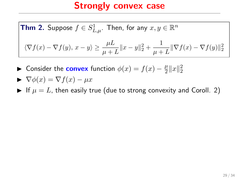**Thm 2.** Suppose 
$$
f \in S^1_{L,\mu}
$$
. Then, for any  $x, y \in \mathbb{R}^n$   

$$
\langle \nabla f(x) - \nabla f(y), x - y \rangle \ge \frac{\mu L}{\mu + L} ||x - y||_2^2 + \frac{1}{\mu + L} ||\nabla f(x) - \nabla f(y)||_2^2
$$

► Consider the **convex** function  $\phi(x) = f(x) - \frac{\mu}{2}$  $\frac{\mu}{2}||x||_2^2$ 

$$
\blacktriangleright \nabla \phi(x) = \nabla f(x) - \mu x
$$

If  $\mu = L$ , then easily true (due to strong convexity and Coroll. 2)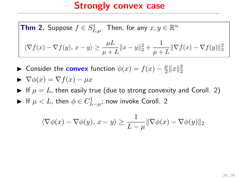**Thm 2.** Suppose 
$$
f \in S^1_{L,\mu}
$$
. Then, for any  $x, y \in \mathbb{R}^n$   

$$
\langle \nabla f(x) - \nabla f(y), x - y \rangle \ge \frac{\mu L}{\mu + L} ||x - y||_2^2 + \frac{1}{\mu + L} ||\nabla f(x) - \nabla f(y)||_2^2
$$

► Consider the **convex** function  $\phi(x) = f(x) - \frac{\mu}{2}$  $\frac{\mu}{2}||x||_2^2$ 

$$
\blacktriangleright \nabla \phi(x) = \nabla f(x) - \mu x
$$

- If  $\mu = L$ , then easily true (due to strong convexity and Coroll. 2)
- ► If  $\mu < L$ , then  $\phi \in C^1_{L-\mu}$ ; now invoke Coroll. 2

$$
\langle \nabla \phi(x) - \nabla \phi(y), x - y \rangle \ge \frac{1}{L - \mu} \|\nabla \phi(x) - \nabla \phi(y)\|_2
$$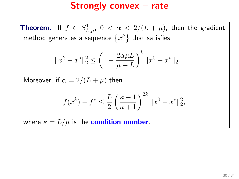**Theorem.** If  $f \in S^1_{L,\mu}$ ,  $0 < \alpha < 2/(L + \mu)$ , then the gradient method generates a sequence  $\{x^k\}$  that satisfies

$$
||x^{k} - x^{*}||_{2}^{2} \le \left(1 - \frac{2\alpha\mu L}{\mu + L}\right)^{k} ||x^{0} - x^{*}||_{2}.
$$

Moreover, if  $\alpha = 2/(L + \mu)$  then

$$
f(x^{k}) - f^* \le \frac{L}{2} \left(\frac{\kappa - 1}{\kappa + 1}\right)^{2k} \|x^0 - x^*\|_2^2,
$$

where  $\kappa = L/\mu$  is the **condition number**.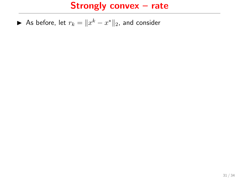▶ As before, let  $r_k = ||x^k - x^*||_2$ , and consider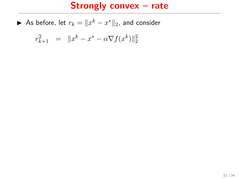▶ As before, let  $r_k = ||x^k - x^*||_2$ , and consider

$$
r_{k+1}^2 = ||x^k - x^* - \alpha \nabla f(x^k)||_2^2
$$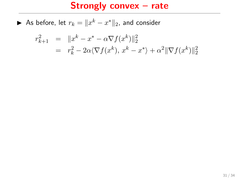▶ As before, let  $r_k = ||x^k - x^*||_2$ , and consider

$$
r_{k+1}^2 = ||x^k - x^* - \alpha \nabla f(x^k)||_2^2
$$
  
=  $r_k^2 - 2\alpha \langle \nabla f(x^k), x^k - x^* \rangle + \alpha^2 ||\nabla f(x^k)||_2^2$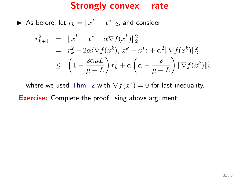#### Strongly convex – rate

▶ As before, let  $r_k = ||x^k - x^*||_2$ , and consider

$$
r_{k+1}^2 = ||x^k - x^* - \alpha \nabla f(x^k)||_2^2
$$
  
=  $r_k^2 - 2\alpha \langle \nabla f(x^k), x^k - x^* \rangle + \alpha^2 ||\nabla f(x^k)||_2^2$   
 $\leq \left(1 - \frac{2\alpha \mu L}{\mu + L}\right) r_k^2 + \alpha \left(\alpha - \frac{2}{\mu + L}\right) ||\nabla f(x^k)||_2^2$ 

where we used Thm. 2 with  $\nabla f(x^*) = 0$  for last inequality.

**Exercise:** Complete the proof using above argument.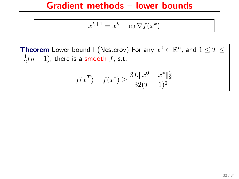## Gradient methods – lower bounds

$$
x^{k+1} = x^k - \alpha_k \nabla f(x^k)
$$

**Theorem** Lower bound I (Nesterov) For any  $x^0 \in \mathbb{R}^n$ , and  $1 \leq T \leq$ 1  $\frac{1}{2}(n-1)$ , there is a smooth  $f$ , s.t.

$$
f(x^{T}) - f(x^{*}) \ge \frac{3L||x^{0} - x^{*}||_{2}^{2}}{32(T+1)^{2}}
$$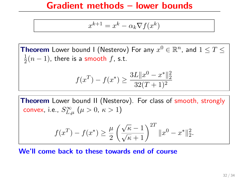## Gradient methods – lower bounds

$$
x^{k+1} = x^k - \alpha_k \nabla f(x^k)
$$

**Theorem** Lower bound I (Nesterov) For any  $x^0 \in \mathbb{R}^n$ , and  $1 \leq T \leq$ 1  $\frac{1}{2}(n-1)$ , there is a smooth  $f$ , s.t.

$$
f(x^{T}) - f(x^{*}) \ge \frac{3L||x^{0} - x^{*}||_{2}^{2}}{32(T+1)^{2}}
$$

Theorem Lower bound II (Nesterov). For class of smooth, strongly convex, i.e.,  $S_{L,\mu}^\infty$   $\left(\mu>0,\ \kappa>1\right)$ 

$$
f(x^{T}) - f(x^{*}) \ge \frac{\mu}{2} \left( \frac{\sqrt{\kappa} - 1}{\sqrt{\kappa} + 1} \right)^{2T} \|x^{0} - x^{*}\|_{2}^{2}.
$$

We'll come back to these towards end of course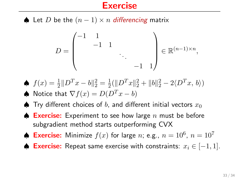### **Exercise**

♦ Let D be the  $(n-1) \times n$  differencing matrix

$$
D = \begin{pmatrix} -1 & 1 & & & \\ & -1 & 1 & & \\ & & \ddots & & \\ & & & -1 & 1 \end{pmatrix} \in \mathbb{R}^{(n-1)\times n},
$$

- $\oint f(x) = \frac{1}{2} \| D^{T}x b \|_{2}^{2} = \frac{1}{2}$  $\frac{1}{2}(\|D^Tx\|_2^2 + \|b\|_2^2 - 2\langle D^Tx, b\rangle)$ A Notice that  $\nabla f(x) = D(D^T x - b)$
- $\spadesuit$  Try different choices of b, and different initial vectors  $x_0$
- $\spadesuit$  Exercise: Experiment to see how large n must be before subgradient method starts outperforming CVX
- ♦ Exercise: Minimize  $f(x)$  for large n; e.g.,  $n = 10^6$ ,  $n = 10^7$
- ♦ Exercise: Repeat same exercise with constraints:  $x_i \in [-1, 1]$ .